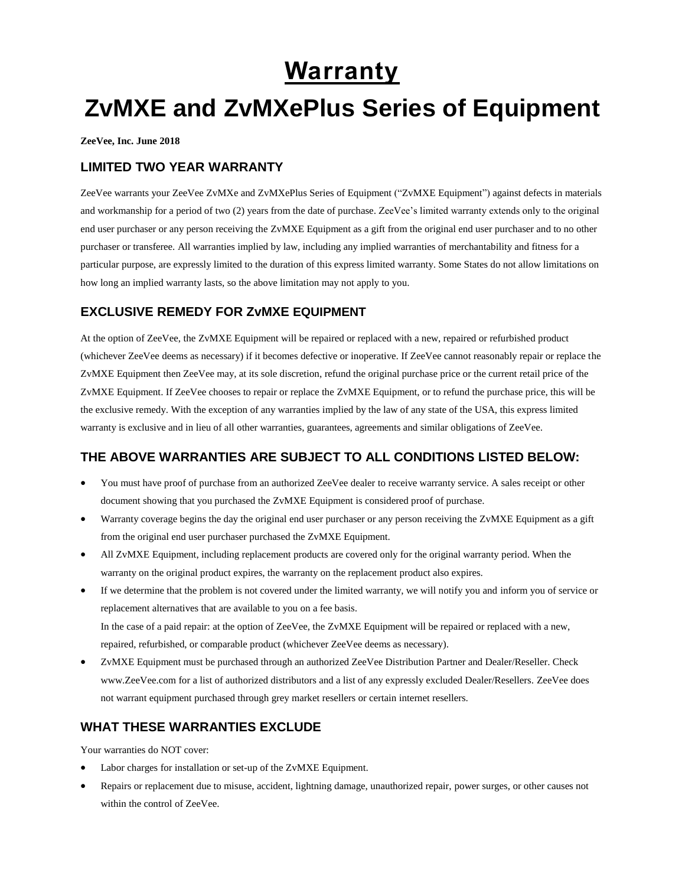## **Warranty**

# **ZvMXE and ZvMXePlus Series of Equipment**

**ZeeVee, Inc. June 2018**

#### **LIMITED TWO YEAR WARRANTY**

ZeeVee warrants your ZeeVee ZvMXe and ZvMXePlus Series of Equipment ("ZvMXE Equipment") against defects in materials and workmanship for a period of two (2) years from the date of purchase. ZeeVee's limited warranty extends only to the original end user purchaser or any person receiving the ZvMXE Equipment as a gift from the original end user purchaser and to no other purchaser or transferee. All warranties implied by law, including any implied warranties of merchantability and fitness for a particular purpose, are expressly limited to the duration of this express limited warranty. Some States do not allow limitations on how long an implied warranty lasts, so the above limitation may not apply to you.

## **EXCLUSIVE REMEDY FOR ZvMXE EQUIPMENT**

At the option of ZeeVee, the ZvMXE Equipment will be repaired or replaced with a new, repaired or refurbished product (whichever ZeeVee deems as necessary) if it becomes defective or inoperative. If ZeeVee cannot reasonably repair or replace the ZvMXE Equipment then ZeeVee may, at its sole discretion, refund the original purchase price or the current retail price of the ZvMXE Equipment. If ZeeVee chooses to repair or replace the ZvMXE Equipment, or to refund the purchase price, this will be the exclusive remedy. With the exception of any warranties implied by the law of any state of the USA, this express limited warranty is exclusive and in lieu of all other warranties, guarantees, agreements and similar obligations of ZeeVee.

## **THE ABOVE WARRANTIES ARE SUBJECT TO ALL CONDITIONS LISTED BELOW:**

- You must have proof of purchase from an authorized ZeeVee dealer to receive warranty service. A sales receipt or other document showing that you purchased the ZvMXE Equipment is considered proof of purchase.
- Warranty coverage begins the day the original end user purchaser or any person receiving the ZvMXE Equipment as a gift from the original end user purchaser purchased the ZvMXE Equipment.
- All ZvMXE Equipment, including replacement products are covered only for the original warranty period. When the warranty on the original product expires, the warranty on the replacement product also expires.
- If we determine that the problem is not covered under the limited warranty, we will notify you and inform you of service or replacement alternatives that are available to you on a fee basis. In the case of a paid repair: at the option of ZeeVee, the ZvMXE Equipment will be repaired or replaced with a new, repaired, refurbished, or comparable product (whichever ZeeVee deems as necessary).
- ZvMXE Equipment must be purchased through an authorized ZeeVee Distribution Partner and Dealer/Reseller. Check www.ZeeVee.com for a list of authorized distributors and a list of any expressly excluded Dealer/Resellers. ZeeVee does not warrant equipment purchased through grey market resellers or certain internet resellers.

## **WHAT THESE WARRANTIES EXCLUDE**

Your warranties do NOT cover:

- Labor charges for installation or set-up of the ZvMXE Equipment.
- Repairs or replacement due to misuse, accident, lightning damage, unauthorized repair, power surges, or other causes not within the control of ZeeVee.